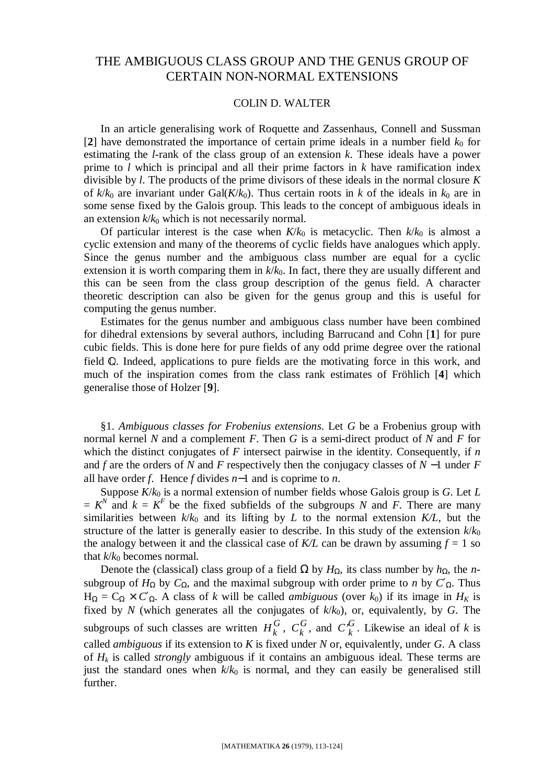## THE AMBIGUOUS CLASS GROUP AND THE GENUS GROUP OF CERTAIN NON-NORMAL EXTENSIONS

## COLIN D. WALTER

In an article generalising work of Roquette and Zassenhaus, Connell and Sussman [2] have demonstrated the importance of certain prime ideals in a number field  $k_0$  for estimating the *l*-rank of the class group of an extension *k*. These ideals have a power prime to *l* which is principal and all their prime factors in *k* have ramification index divisible by *l*. The products of the prime divisors of these ideals in the normal closure *K* of  $k/k_0$  are invariant under Gal( $K/k_0$ ). Thus certain roots in *k* of the ideals in  $k_0$  are in some sense fixed by the Galois group. This leads to the concept of ambiguous ideals in an extension  $k/k_0$  which is not necessarily normal.

Of particular interest is the case when  $K/k_0$  is metacyclic. Then  $k/k_0$  is almost a cyclic extension and many of the theorems of cyclic fields have analogues which apply. Since the genus number and the ambiguous class number are equal for a cyclic extension it is worth comparing them in  $k/k_0$ . In fact, there they are usually different and this can be seen from the class group description of the genus field. A character theoretic description can also be given for the genus group and this is useful for computing the genus number.

Estimates for the genus number and ambiguous class number have been combined for dihedral extensions by several authors, including Barrucand and Cohn [**1**] for pure cubic fields. This is done here for pure fields of any odd prime degree over the rational field  $Q$ . Indeed, applications to pure fields are the motivating force in this work, and much of the inspiration comes from the class rank estimates of Fröhlich [**4**] which generalise those of Holzer [**9**].

§1. *Ambiguous classes for Frobenius extensions*. Let *G* be a Frobenius group with normal kernel *N* and a complement *F*. Then *G* is a semi-direct product of *N* and *F* for which the distinct conjugates of *F* intersect pairwise in the identity. Consequently, if *n* and *f* are the orders of *N* and *F* respectively then the conjugacy classes of *N* −1 under *F* all have order *f*. Hence *f* divides *n*−1 and is coprime to *n*.

Suppose  $K/k_0$  is a normal extension of number fields whose Galois group is *G*. Let *L*  $= K^N$  and  $k = K^F$  be the fixed subfields of the subgroups *N* and *F*. There are many similarities between  $k/k_0$  and its lifting by *L* to the normal extension  $K/L$ , but the structure of the latter is generally easier to describe. In this study of the extension  $k/k_0$ the analogy between it and the classical case of  $K/L$  can be drawn by assuming  $f = 1$  so that  $k/k_0$  becomes normal.

Denote the (classical) class group of a field  $\Omega$  by  $H_{\Omega}$ , its class number by  $h_{\Omega}$ , the *n*subgroup of  $H_Ω$  by  $C_Ω$ , and the maximal subgroup with order prime to *n* by  $C'Ω$ . Thus  $H_{\Omega} = C_{\Omega} \times C'_{\Omega}$ . A class of *k* will be called *ambiguous* (over *k*<sub>0</sub>) if its image in  $H_K$  is fixed by *N* (which generates all the conjugates of *k*/*k*0), or, equivalently, by *G*. The subgroups of such classes are written  $H_k^G$ ,  $C_k^G$  $C_k^G$ , and  $C_k^G$ . Likewise an ideal of *k* is called *ambiguous* if its extension to *K* is fixed under *N* or, equivalently, under *G*. A class of *H<sup>k</sup>* is called *strongly* ambiguous if it contains an ambiguous ideal. These terms are just the standard ones when  $k/k_0$  is normal, and they can easily be generalised still further.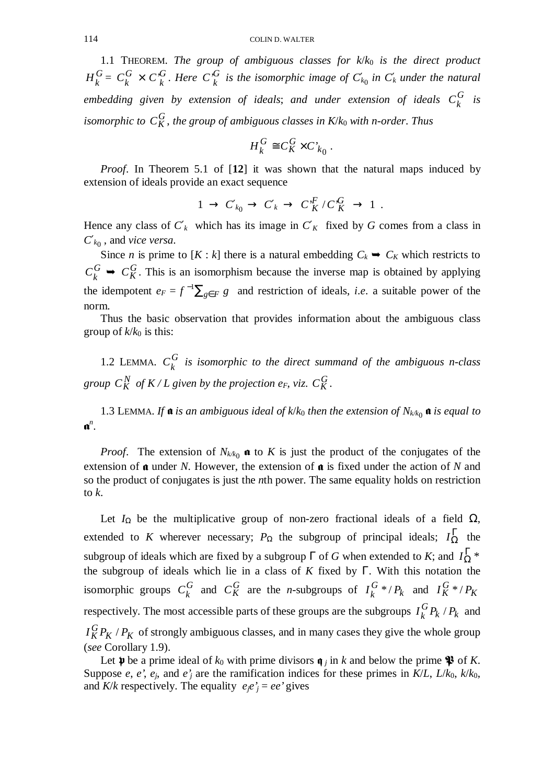1.1 THEOREM. *The group of ambiguous classes for*  $k/k_0$  *is the direct product G*  $H_k^G = C_k^G$  $C_k^G \times C_k^G$  $C_k^G$ . Here  $C_k^G$  is the isomorphic image of  $C'_{k_0}$  in  $C'_{k}$  under the natural embedding given by extension of ideals; and under extension of ideals  $C_k^G$  is *isomorphic to*  $C_K^G$ , the group of ambiguous classes in  $K/k_0$  with n-order. Thus

$$
H_k^G \cong C_K^G \times C_{k_0}.
$$

*Proof*. In Theorem 5.1 of [**12**] it was shown that the natural maps induced by extension of ideals provide an exact sequence

$$
1 \to C'_{k_0} \to C'_{k} \to C''_K/C''_K \to 1.
$$

Hence any class of  $C'$ <sup>*k*</sup> which has its image in  $C'$ <sup>*K*</sup> fixed by *G* comes from a class in *C*′*<sup>k</sup>*<sup>0</sup> , and *vice versa*.

Since *n* is prime to  $[K : k]$  there is a natural embedding  $C_k \rightarrow C_K$  which restricts to *G*  $C_k^G$   $\rightarrow$   $C_K^G$ . This is an isomorphism because the inverse map is obtained by applying the idempotent  $e_F = f^{-1} \sum_{g \in F} g$  and restriction of ideals, *i.e.* a suitable power of the norm.

Thus the basic observation that provides information about the ambiguous class group of  $k/k_0$  is this:

1.2 LEMMA.  $C_k^G$ *k C is isomorphic to the direct summand of the ambiguous n*-*class* group  $C_K^N$  of  $K/L$  given by the projection  $e_F$ , viz.  $C_K^G$ .

1.3 LEMMA. If  $\mathfrak a$  *is an ambiguous ideal of k/k*<sub>0</sub> then the extension of  $N_{k/2}$   $\mathfrak a$  *is equal to* Q *n* .

*Proof.* The extension of  $N_{k/k_0}$  **a** to *K* is just the product of the conjugates of the extension of  $\boldsymbol{\alpha}$  under *N*. However, the extension of  $\boldsymbol{\alpha}$  is fixed under the action of *N* and so the product of conjugates is just the *n*th power. The same equality holds on restriction to *k*.

Let  $I_{\Omega}$  be the multiplicative group of non-zero fractional ideals of a field Ω, extended to *K* wherever necessary;  $P_{\Omega}$  the subgroup of principal ideals;  $I_{\Omega}^{\Gamma}$  the subgroup of ideals which are fixed by a subgroup  $\Gamma$  of *G* when extended to *K*; and  $I_{\Omega}^{\Gamma}$  \* the subgroup of ideals which lie in a class of *K* fixed by Γ. With this notation the isomorphic groups  $C_k^G$  and  $C_K^G$  are the *n*-subgroups of  $I_k^G*/P_k$  $I_k^G * / P_k$  and  $I_K^G * / P_K$ respectively. The most accessible parts of these groups are the subgroups  $I_k^G P_k / P_k$  $I_k^{\mathbf{G}} P_k / P_k$  and  $I_K^GP_K$  /  $P_K$  of strongly ambiguous classes, and in many cases they give the whole group (*see* Corollary 1.9).

Let  $\psi$  be a prime ideal of  $k_0$  with prime divisors  $\phi$  *j* in *k* and below the prime  $\mathcal{P}$  of *K*. Suppose *e*, *e*', *e<sub>j</sub>*, and *e*<sup>'</sup>*j* are the ramification indices for these primes in  $K/L$ ,  $L/k_0$ ,  $k/k_0$ , and *K*/*k* respectively. The equality  $e_i e_j' = e e_j'$  gives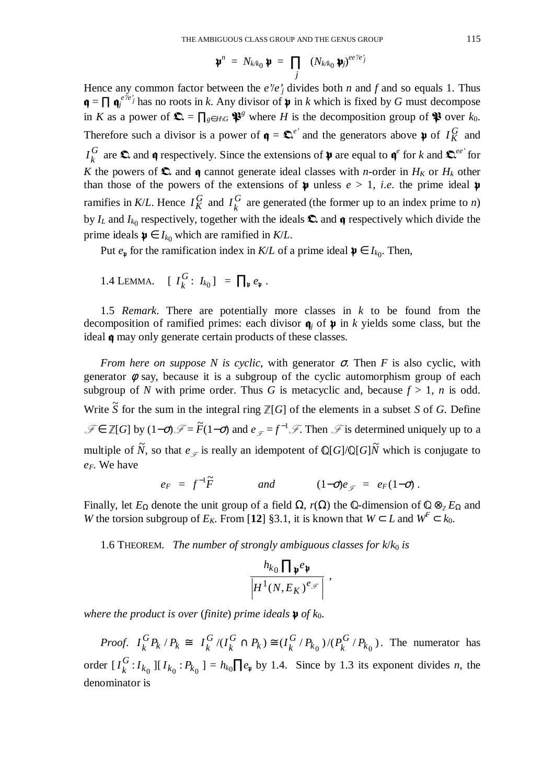$$
\mathbf{\psi}^n \ = \ N_{k \mathcal{R}_0} \, \mathbf{\psi} \ = \ \prod_j \ \ (N_{k \mathcal{R}_0} \, \mathbf{\psi}_j)^{e e^j / e^j_j}
$$

Hence any common factor between the  $e'e'$ <sup>*j*</sup> divides both *n* and *f* and so equals 1. Thus  $\mathbf{q} = \prod \mathbf{q}^{e/e'}_j$  has no roots in *k*. Any divisor of  $\mathbf{\psi}$  in *k* which is fixed by *G* must decompose in *K* as a power of  $\mathbf{\Omega} = \prod_{g \in H \setminus G} \mathbf{\mathcal{P}}^g$  where *H* is the decomposition group of  $\mathbf{\mathcal{P}}$  over  $k_0$ . Therefore such a divisor is a power of  $\mathbf{\mathfrak{q}} = \mathbf{\mathfrak{L}}^{e'}$  and the generators above  $\mathbf{\mathfrak{p}}$  of  $I_K^G$  and *G*  $I_k^G$  are  $\Omega$  and  $\mathfrak q$  respectively. Since the extensions of  $\mathfrak p$  are equal to  $\mathfrak q^e$  for *k* and  $\mathfrak Q^{ee'}$  for *K* the powers of  $\Omega$  and **q** cannot generate ideal classes with *n*-order in  $H_K$  or  $H_k$  other than those of the powers of the extensions of  $\mu$  unless  $e > 1$ , *i.e.* the prime ideal  $\nu$ ramifies in *K*/*L*. Hence  $I_K^G$  and  $I_k^G$  are generated (the former up to an index prime to *n*) by  $I_L$  and  $I_{k_0}$  respectively, together with the ideals  $\Omega$  and  $\mathfrak q$  respectively which divide the prime ideals  $\boldsymbol{\psi} \in I_{k_0}$  which are ramified in *K*/*L*.

Put  $e_{\psi}$  for the ramification index in *K*/*L* of a prime ideal  $\psi \in I_{k_0}$ . Then,

1.4 LEMMA. 
$$
[I_k^G: I_{k_0}] = \prod_{\mathfrak{p}} e_{\mathfrak{p}}.
$$

1.5 *Remark*. There are potentially more classes in *k* to be found from the decomposition of ramified primes: each divisor  $\mathbf{\mathfrak{q}}_i$  of  $\mathbf{\mathfrak{p}}$  in *k* yields some class, but the ideal  $\boldsymbol{\mathfrak{q}}$  may only generate certain products of these classes.

*From here on suppose N is cyclic, with generator*  $\sigma$ *. Then <i>F* is also cyclic, with generator  $\phi$  say, because it is a subgroup of the cyclic automorphism group of each subgroup of *N* with prime order. Thus *G* is metacyclic and, because  $f > 1$ , *n* is odd. Write  $\tilde{S}$  for the sum in the integral ring  $\mathbb{Z}[G]$  of the elements in a subset *S* of *G*. Define  $\mathcal{F} \in \mathbb{Z}[G]$  by  $(1-\sigma)\mathcal{F} = \tilde{F}(1-\sigma)$  and  $e_{\mathcal{F}} = f^{-1}\mathcal{F}$ . Then  $\mathcal{F}$  is determined uniquely up to a multiple of  $\tilde{N}$ , so that  $e_{\mathscr{F}}$  is really an idempotent of Q[*G*]/Q[*G*] $\tilde{N}$  which is conjugate to *eF*. We have

$$
e_F = f^{-1}\tilde{F}
$$
 and  $(1-\sigma)e_{\mathscr{F}} = e_F(1-\sigma)$ .

Finally, let  $E_{\Omega}$  denote the unit group of a field  $\Omega$ ,  $r(\Omega)$  the Q-dimension of  $\mathbb{Q} \otimes_{\mathbb{Z}} E_{\Omega}$  and *W* the torsion subgroup of  $E_K$ . From [12] §3.1, it is known that  $W \subset L$  and  $W^F \subset k_0$ .

1.6 THEOREM. *The number of strongly ambiguous classes for k/k*<sup>0</sup> is

$$
\frac{h_{k_0} \prod_{\mathfrak{p}} e_{\mathfrak{p}}}{\left| H^1(N, E_K)^{e_{\mathscr{F}}}\right|} \ ,
$$

*where the product is over (finite) prime ideals*  $\mathbf{p}$  *of k*<sub>0</sub>.

*Proof.*  $I_k^G P_k / P_k \cong$  $I_k^G P_k / P_k \cong I_k^G / (I_k^G \cap P_k) \cong$ *k G*  $I_k^{\mathbf{G}}/(I_k^{\mathbf{G}} \cap P_k) \cong (I_k^{\mathbf{G}}/P_{k_0})/(P_k^{\mathbf{G}}/P_{k_0})$ *G*  $(k_0) / (P_k)$ *G*  $I_k^{\mathbf{G}}$  / $P_{k_0}$  )/ $(P_k^{\mathbf{G}}$  / $P_{k_0}$  ). The numerator has order  $[I_k^G: I_{k_0}][I_{k_0}: P_{k_0}] = h_{k_0} \prod e_{\nu}$  by 1.4. Since by 1.3 its exponent divides *n*, the denominator is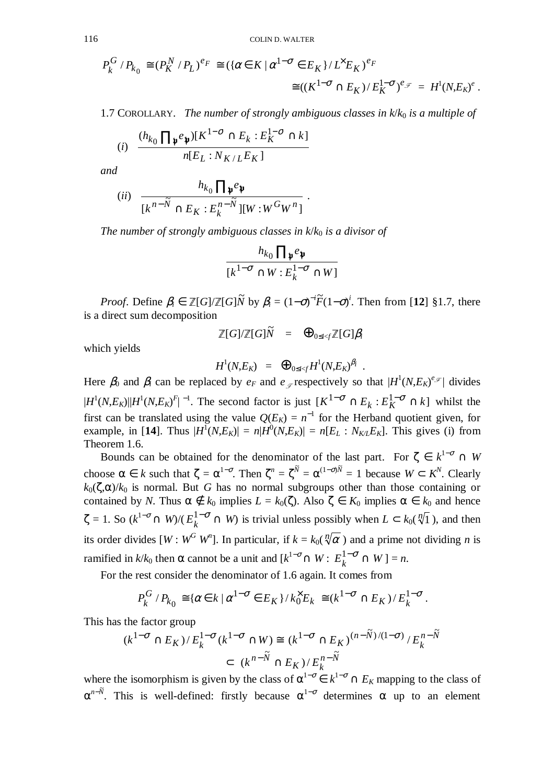$$
P_k^G/P_{k_0} \cong (P_K^N/P_L)^{e_F} \cong (\{\alpha \in K \mid \alpha^{1-\sigma} \in E_K\}/L^{\times}E_K)^{e_F}
$$
  

$$
\cong ((K^{1-\sigma} \cap E_K)/E_K^{1-\sigma})^{e_{\mathscr{F}}} = H^1(N,E_K)^{e}.
$$

1.7 COROLLARY. *The number of strongly ambiguous classes in k*/*k*0 *is a multiple of*

$$
(i) \frac{(h_{k_0} \prod_{\mathfrak{p}} e_{\mathfrak{p}}) [K^{1-\sigma} \cap E_k : E_K^{1-\sigma} \cap k]}{n[E_L : N_{K/L} E_K]}
$$

*and*

$$
(ii) \quad \frac{h_{k_0} \prod_{\mathfrak{p}} e_{\mathfrak{p}}}{[k^{n-\widetilde{N}} \cap E_K : E_k^{n-\widetilde{N}}][W : W^G W^n]}.
$$

*The number of strongly ambiguous classes in k/k<sub>0</sub> is a divisor of* 

$$
\frac{h_{k_0} \prod_{\mathfrak{p}} e_{\mathfrak{p}}}{[k^{1-\sigma} \cap W : E_k^{1-\sigma} \cap W]}
$$

*Proof.* Define  $\beta_i \in \mathbb{Z}[G]/\mathbb{Z}[G]\tilde{N}$  by  $\beta_i = (1-\sigma)^{-i}\tilde{F}(1-\sigma)^i$ . Then from [12] §1.7, there is a direct sum decomposition

 $\mathbb{Z}[G]/\mathbb{Z}[G]\tilde{N}$  =  $\bigoplus_{0\leq i < f} \mathbb{Z}[G]\beta_i$ 

which yields

$$
H^1(N,E_K) = \Theta_{0 \le i \le f} H^1(N,E_K)^{\beta_i} .
$$

Here  $\beta_0$  and  $\beta_i$  can be replaced by  $e_F$  and  $e_{\mathscr{F}}$  respectively so that  $|H^1(N,E_K)^{e_{\mathscr{F}}}|$  divides  $|H^1(N,E_K)||H^1(N,E_K)^F|^{-1}$ . The second factor is just  $[K^{1-\sigma} \cap E_k : E_K^{1-\sigma} \cap k]$  whilst the | first can be translated using the value  $Q(E_K) = n^{-1}$  for the Herband quotient given, for example, in [14]. Thus  $|H^1(N,E_K)| = n|H^0(N,E_K)| = n[E_L : N_{K/L}E_K]$ . This gives (i) from Theorem 1.6.

Bounds can be obtained for the denominator of the last part. For  $\zeta \in k^{1-\sigma} \cap W$ choose  $\alpha \in k$  such that  $\zeta = \alpha^{1-\sigma}$ . Then  $\zeta^n = \zeta^{\tilde{N}} = \alpha^{(1-\sigma)\tilde{N}} = 1$  because  $W \subset K^N$ . Clearly  $k_0(\zeta,\alpha)/k_0$  is normal. But *G* has no normal subgroups other than those containing or contained by *N*. Thus  $\alpha \notin k_0$  implies  $L = k_0(\zeta)$ . Also  $\zeta \in K_0$  implies  $\alpha \in k_0$  and hence  $\zeta = 1$ . So  $(k^{1-\sigma} \cap W)/(E_k^{1-\sigma} \cap W)$  is trivial unless possibly when  $L \subset k_0(\sqrt[n]{1})$ , and then its order divides  $[W : W^G W^n]$ . In particular, if  $k = k_0(\sqrt[n]{\alpha})$  and a prime not dividing *n* is ramified in  $k/k_0$  then  $\alpha$  cannot be a unit and  $[k^{1-\sigma} \cap W: E_k^{1-\sigma}]$  $E_k^{1-O} \cap W$ ] = *n*.

For the rest consider the denominator of 1.6 again. It comes from

$$
P_k^G/P_{k_0} \cong \{ \alpha \in k \mid \alpha^{1-\sigma} \in E_K \} / k_0^{\times} E_k \cong (k^{1-\sigma} \cap E_K) / E_k^{1-\sigma}.
$$

This has the factor group

$$
(k^{1-\sigma} \cap E_K) / E_k^{1-\sigma} (k^{1-\sigma} \cap W) \cong (k^{1-\sigma} \cap E_K)^{(n-\tilde{N})/(1-\sigma)} / E_k^{n-\tilde{N}}
$$
  

$$
\subset (k^{n-\tilde{N}} \cap E_K) / E_k^{n-\tilde{N}}
$$

where the isomorphism is given by the class of  $\alpha^{1-\sigma} \in k^{1-\sigma} \cap E_K$  mapping to the class of  $\alpha^{n-\tilde{N}}$ . This is well-defined: firstly because  $\alpha^{1-\sigma}$  determines  $\alpha$  up to an element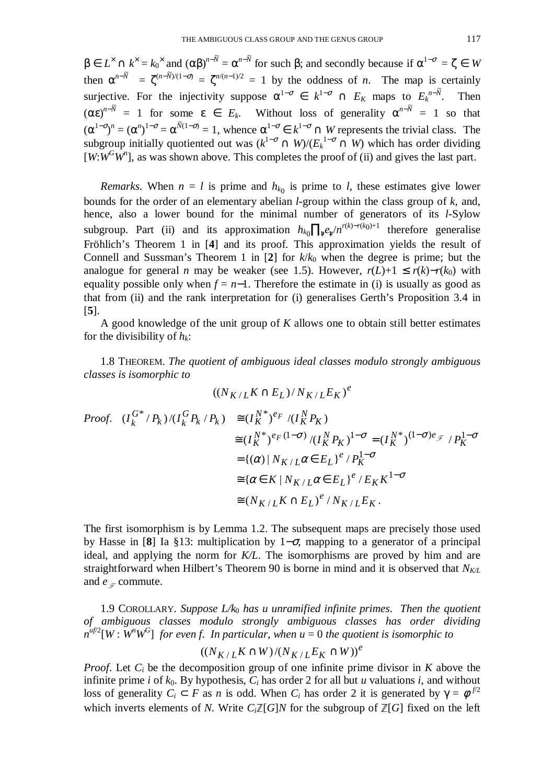$\beta \in L^{\times} \cap k^{\times} = k_0^{\times}$  and  $(\alpha \beta)^{n-\tilde{N}} = \alpha^{n-\tilde{N}}$  for such  $\beta$ ; and secondly because if  $\alpha^{1-\sigma} = \zeta \in W$ then  $\alpha^{n-\tilde{N}} = \zeta^{(n-\tilde{N})/(1-\sigma)} = \zeta^{n/(n-1)/2} = 1$  by the oddness of *n*. The map is certainly surjective. For the injectivity suppose  $\alpha^{1-\sigma} \in k^{1-\sigma} \cap E_K$  maps to  $E_k^{n-\bar{N}}$ .Then  $(\alpha \varepsilon)^{n-\tilde{N}} = 1$  for some  $\varepsilon \in E_k$ . Without loss of generality  $\alpha^{n-\tilde{N}} = 1$  so that  $(\alpha^{1-\sigma})^n = (\alpha^n)^{1-\sigma} = \alpha^{\tilde{N}(1-\sigma)} = 1$ , whence  $\alpha^{1-\sigma} \in k^{1-\sigma} \cap W$  represents the trivial class. The subgroup initially quotiented out was  $(k^{1-\sigma} \cap W)/(E_k^{1-\sigma} \cap W)$  which has order dividing  $[W:W^GW]$ , as was shown above. This completes the proof of (ii) and gives the last part.

*Remarks*. When  $n = l$  is prime and  $h_{k_0}$  is prime to *l*, these estimates give lower bounds for the order of an elementary abelian *l*-group within the class group of *k*, and, hence, also a lower bound for the minimal number of generators of its *l*-Sylow subgroup. Part (ii) and its approximation  $h_{k_0} \prod_{\psi} e_{\psi} / n^{r(k)-r(k_0)+1}$  therefore generalise Fröhlich's Theorem 1 in [**4**] and its proof. This approximation yields the result of Connell and Sussman's Theorem 1 in  $[2]$  for  $k/k_0$  when the degree is prime; but the analogue for general *n* may be weaker (see 1.5). However,  $r(L)+1 \leq r(k)-r(k_0)$  with equality possible only when  $f = n-1$ . Therefore the estimate in (i) is usually as good as that from (ii) and the rank interpretation for (i) generalises Gerth's Proposition 3.4 in [**5**].

A good knowledge of the unit group of *K* allows one to obtain still better estimates for the divisibility of  $h_k$ :

1.8 THEOREM. *The quotient of ambiguous ideal classes modulo strongly ambiguous classes is isomorphic to*

$$
((N_{K/L}K \cap E_L)/N_{K/L}E_K)^e
$$
  
\nProof.  $(I_k^{G^*}/P_k)/(I_k^GP_k/P_k) \cong (I_K^{N^*})^{e_F}/(I_K^NP_K)$   
\n $\cong (I_K^{N^*})^{e_F(1-\sigma)}/(I_K^NP_K)^{1-\sigma} = (I_K^{N^*})^{(1-\sigma)e_{\mathcal{F}}}/P_K^{1-\sigma}$   
\n $= \{(\alpha) | N_{K/L}\alpha \in E_L\}^e/P_K^{1-\sigma}$   
\n $\cong {\alpha \in K | N_{K/L}\alpha \in E_L}^e/E_KK^{1-\sigma}$   
\n $\cong (N_{K/L}K \cap E_L)^e/N_{K/L}E_K.$ 

The first isomorphism is by Lemma 1.2. The subsequent maps are precisely those used by Hasse in [8] Ia §13: multiplication by  $1-\sigma$ , mapping to a generator of a principal ideal, and applying the norm for *K/L*. The isomorphisms are proved by him and are straightforward when Hilbert's Theorem 90 is borne in mind and it is observed that  $N_{K/L}$ and  $e_{\mathscr{F}}$  commute.

1.9 COROLLARY. *Suppose L/k*0 *has u unramified infinite primes*. *Then the quotient of ambiguous classes modulo strongly ambiguous classes has order dividing*  $n^{uf/2}[W:W^nW^G]$  for even f. In particular, when  $u = 0$  the quotient is isomorphic to

$$
((N_{K/L}K\cap W)/(N_{K/L}E_K\cap W))^e
$$

*Proof*. Let *C<sup>i</sup>* be the decomposition group of one infinite prime divisor in *K* above the infinite prime *i* of  $k_0$ . By hypothesis,  $C_i$  has order 2 for all but *u* valuations *i*, and without loss of generality  $C_i \subset F$  as *n* is odd. When  $C_i$  has order 2 it is generated by  $\gamma = \phi^{f/2}$ which inverts elements of *N*. Write *C*<sub>*i*</sub><sup> $Z$ </sup>[*G*]*N* for the subgroup of  $Z$ [*G*] fixed on the left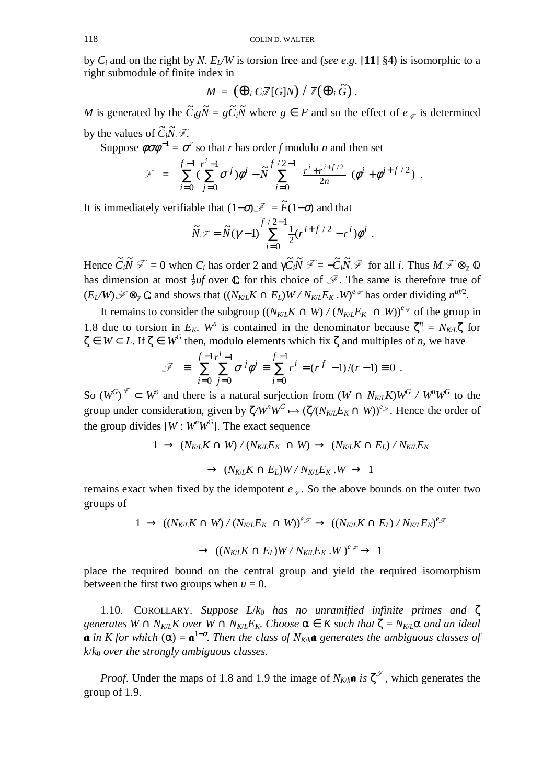by  $C_i$  and on the right by *N*.  $E_i/W$  is torsion free and (*see e.g.* [11] §4) is isomorphic to a right submodule of finite index in

$$
M = (\bigoplus_i C_i \mathbb{Z}[G]N) / \mathbb{Z}(\bigoplus_i \widetilde{G}) .
$$

*M* is generated by the  $\tilde{C}_i g \tilde{N} = g \tilde{C}_i \tilde{N}$  where  $g \in F$  and so the effect of  $e_{\mathscr{F}}$  is determined by the values of  $\tilde{C}_i \tilde{N} \mathcal{F}$ .<br>Suppose  $\phi \tilde{\sigma} \phi^{-1} = \tilde{\sigma}$ 

Suppose  $\phi \sigma \phi^{-1} = \sigma^r$  so that *r* has order *f* modulo *n* and then set

$$
\mathcal{F} = \sum_{i=0}^{f-1} (\sum_{j=0}^{r^i-1} \sigma^j) \phi^i - \tilde{N} \sum_{i=0}^{f/2-1} \left( \frac{r^i + r^{i+f/2}}{2n} \right) (\phi^i + \phi^{i+f/2}).
$$

It is immediately verifiable that  $(1-\sigma)$   $\mathcal{F} = \tilde{F}(1-\sigma)$  and that

$$
\widetilde{N}\mathcal{F}=\widetilde{N}(\gamma-1)\sum_{i=0}^{f/2-1}\tfrac{1}{2}(r^{i+f/2}-r^i)\phi^i.
$$

Hence  $\tilde{C}_i \tilde{N} \mathcal{F} = 0$  when  $C_i$  has order 2 and  $\gamma \tilde{C}_i \tilde{N} \mathcal{F} = -\tilde{C}_i \tilde{N} \mathcal{F}$  for all *i*. Thus  $M \mathcal{F} \otimes_{\mathbb{Z}} \mathbb{Q}$ <br>has dimension at most <sup>1</sup> of such 0 for this abojes of  $\mathcal{F}$ . The same i has dimension at most  $\frac{1}{2}uf$  over Q for this choice of  $\mathcal{F}$ . The same is therefore true of  $(E_L/W) \mathcal{F} \otimes_{\mathbb{Z}} \mathbb{Q}$  and shows that  $((N_{K/L}K \cap E_L)W / N_{K/L}E_K \cdot W)^{e_{\mathcal{F}}}$  has order dividing  $n^{uf/2}$ .

It remains to consider the subgroup  $((N_{K/L}K \cap W)/(N_{K/L}E_K \cap W))^{\epsilon_{\mathcal{F}}}$  of the group in 1.8 due to torsion in  $E_K$ . W<sup>*n*</sup> is contained in the denominator because  $\zeta^n = N_{K/L}\zeta$  for  $\zeta \in W \subset L$ . If  $\zeta \in W^G$  then, modulo elements which fix  $\zeta$  and multiples of *n*, we have

$$
\mathcal{F} = \sum_{i=0}^{f-1} \sum_{j=0}^{i-1} \sigma^j \phi^i = \sum_{i=0}^{f-1} r^i = (r^f - 1)/(r - 1) \equiv 0.
$$

So  $(W^G)^{\mathcal{F}} \subset W^n$  and there is a natural surjection from  $(W \cap N_{K/L}K)W^G / W^nW^G$  to the group under consideration, given by  $\zeta/W^nW^G \mapsto (\zeta/(N_{K/L}E_K \cap W))^{e_{\mathscr{F}}}$ . Hence the order of the group divides  $[W: W^n W^G]$ . The exact sequence

$$
1 \rightarrow (N_{K/L}K \cap W) / (N_{K/L}E_K \cap W) \rightarrow (N_{K/L}K \cap E_L) / N_{K/L}E_K
$$
  

$$
\rightarrow (N_{K/L}K \cap E_L)W / N_{K/L}E_K.W \rightarrow 1
$$

remains exact when fixed by the idempotent  $e_{\mathscr{F}}$ . So the above bounds on the outer two groups of

$$
1 \rightarrow ((N_{K/L}K \cap W) / (N_{K/L}E_K \cap W))^{e_{\mathcal{F}}} \rightarrow ((N_{K/L}K \cap E_L) / N_{K/L}E_K)^{e_{\mathcal{F}}}
$$

$$
\rightarrow ((N_{K/L}K \cap E_L)W / N_{K/L}E_K.W)^{e_{\mathcal{F}}} \rightarrow 1
$$

place the required bound on the central group and yield the required isomorphism between the first two groups when  $u = 0$ .

1.10. COROLLARY. *Suppose L*/*k*0 *has no unramified infinite primes and* ζ *generates*  $W \cap N_{K/L}K$  over  $W \cap N_{K/L}E_K$ . Choose  $\alpha \in K$  such that  $\zeta = N_{K/L}\alpha$  and an ideal  $\mathfrak{a}$  in *K* for which  $\alpha$ ) =  $\mathfrak{a}^{1-\sigma}$ . Then the class of  $N_{K/k}\mathfrak{a}$  generates the ambiguous classes of *k*/*k*0 *over the strongly ambiguous classes*.

*Proof.* Under the maps of 1.8 and 1.9 the image of  $N_{K/k}$  **a** is  $\zeta^s$ , which generates the group of 1.9.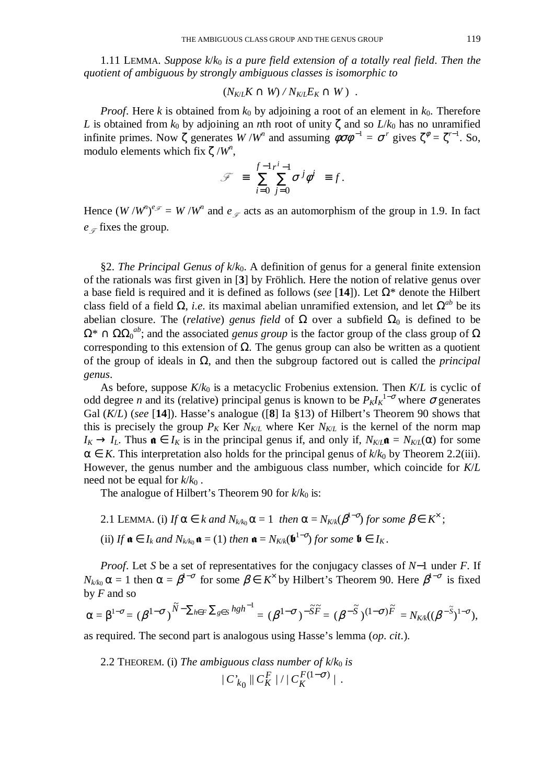1.11 LEMMA. *Suppose k*/*k*0 *is a pure field extension of a totally real field*. *Then the quotient of ambiguous by strongly ambiguous classes is isomorphic to*

$$
(N_{K/L}K \cap W) / N_{K/L}E_K \cap W) .
$$

*Proof.* Here *k* is obtained from  $k_0$  by adjoining a root of an element in  $k_0$ . Therefore *L* is obtained from  $k_0$  by adjoining an *n*th root of unity  $\zeta$  and so  $L/k_0$  has no unramified infinite primes. Now  $\zeta$  generates  $W/W^n$  and assuming  $\phi \sigma \phi^{-1} = \sigma^r$  gives  $\zeta^{\phi} = \zeta^{r-1}$ . So, modulo elements which fix  $\zeta / W^n$ ,

$$
\mathcal{F} = \sum_{i=0}^{f-1} \sum_{j=0}^{i-1} \sigma^j \phi^i = f.
$$

Hence  $(W/W^n)^{e_{\mathcal{F}}}=W/W^n$  and  $e_{\mathcal{F}}$  acts as an automorphism of the group in 1.9. In fact  $e_{\mathscr{F}}$  fixes the group.

§2. *The Principal Genus of*  $k/k_0$ *.* A definition of genus for a general finite extension of the rationals was first given in [**3**] by Fröhlich. Here the notion of relative genus over a base field is required and it is defined as follows (*see* [**14**]). Let Ω\* denote the Hilbert class field of a field  $\Omega$ , *i.e.* its maximal abelian unramified extension, and let  $\Omega^{ab}$  be its abelian closure. The (*relative*) genus field of  $\Omega$  over a subfield  $\Omega_0$  is defined to be  $\Omega^* \cap \Omega \Omega_0^{ab}$ ; and the associated *genus group* is the factor group of the class group of  $\Omega$ corresponding to this extension of Ω. The genus group can also be written as a quotient of the group of ideals in Ω, and then the subgroup factored out is called the *principal genus*.

As before, suppose  $K/k_0$  is a metacyclic Frobenius extension. Then  $K/L$  is cyclic of odd degree *n* and its (relative) principal genus is known to be  $P_K I_K^{-1-\sigma}$  where  $\sigma$  generates Gal (*K*/*L*) (*see* [**14**]). Hasse's analogue ([**8**] Ia §13) of Hilbert's Theorem 90 shows that this is precisely the group  $P_K$  Ker  $N_{K/L}$  where Ker  $N_{K/L}$  is the kernel of the norm map  $I_K \to I_L$ . Thus  $\mathfrak{a} \in I_K$  is in the principal genus if, and only if,  $N_{K/L} \mathfrak{a} = N_{K/L}(\alpha)$  for some  $\alpha \in K$ . This interpretation also holds for the principal genus of  $k/k_0$  by Theorem 2.2(iii). However, the genus number and the ambiguous class number, which coincide for *K*/*L* need not be equal for  $k/k_0$ .

The analogue of Hilbert's Theorem 90 for  $k/k_0$  is:

- 2.1 LEMMA. (i) If  $\alpha \in k$  and  $N_{k/k_0} \alpha = 1$  then  $\alpha = N_{K/k}(\beta^{1-\sigma})$  for some  $\beta \in K^{\times}$ ;
- (ii) *If*  $\mathbf{a} \in I_k$  and  $N_{k/k_0} \mathbf{a} = (1)$  then  $\mathbf{a} = N_{K/k}(\mathbf{b}^{1-\sigma})$  for some  $\mathbf{b} \in I_K$ .

*Proof.* Let *S* be a set of representatives for the conjugacy classes of *N*−1 under *F*. If  $N_{k/k_0}$  α = 1 then α =  $\beta^{1-\sigma}$  for some  $\beta \in K^\times$  by Hilbert's Theorem 90. Here  $\beta^{1-\sigma}$  is fixed by *F* and so

$$
\alpha=\beta^{1-\sigma}=(\beta^{1-\sigma})^{\widetilde N-\sum_{h\in F}\sum_{g\in S}hgh^{-1}}=(\beta^{1-\sigma})^{-\widetilde S\widetilde F}=(\beta^{-\widetilde S})^{(1-\sigma)\widetilde F}=N_{K/k}((\beta^{-\widetilde S})^{1-\sigma}),
$$

as required. The second part is analogous using Hasse's lemma (*op*. *cit*.).

2.2 THEOREM. (i) *The ambiguous class number of*  $k/k_0$  *is*  $\|{C_{k_\Omega}^r\|C_K^F\,|} / \|C_K^{F(1-\sigma)}\|$ 0  $F(1-\sigma)$  $C_{k_0}^r$  ||  $C_K^F$  ||  $|C_K^{F(1-\sigma)}|$  .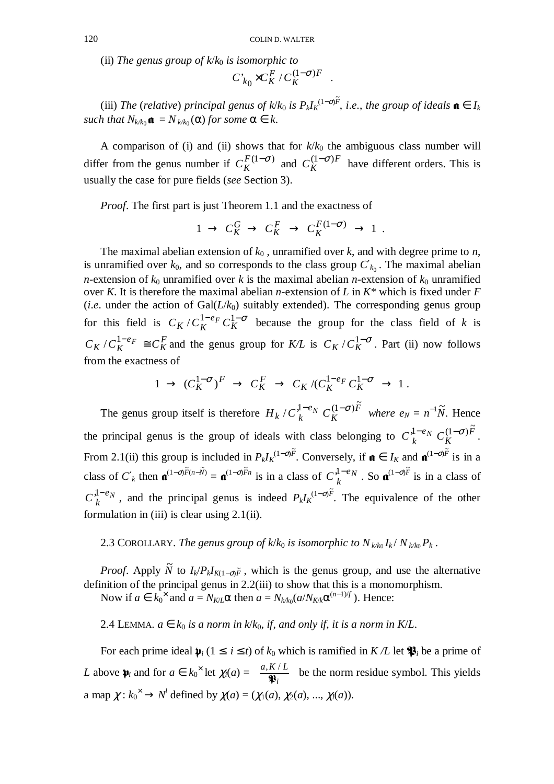(ii) The genus group of  $k/k_0$  is isomorphic to

$$
C_{k_0}^{\cdot} \times C_K^F / C_K^{(1-\sigma)F} \ .
$$

(iii) *The (relative) principal genus of k*/ $k_0$  *is P<sub>k</sub>I*<sub>*K*</sub><sup> $(1-\sigma)\tilde{F}$ , *i.e.*, *the group of ideals*  $\mathfrak{a} \in I_k$ </sup> *such that*  $N_{k/k_0}$   $\mathbf{a} = N_{k/k_0}(\alpha)$  *for some*  $\alpha \in k$ .

A comparison of (i) and (ii) shows that for  $k/k_0$  the ambiguous class number will differ from the genus number if  $C_K^{F(1-\sigma)}$  and  $C_K^{(1-\sigma)F}$  have different orders. This is usually the case for pure fields (*see* Section 3).

*Proof.* The first part is just Theorem 1.1 and the exactness of

$$
1 \to C_K^G \to C_K^F \to C_K^{F(1-\sigma)} \to 1.
$$

The maximal abelian extension of  $k_0$ , unramified over  $k$ , and with degree prime to  $n$ , is unramified over  $k_0$ , and so corresponds to the class group  $C'_{k_0}$ . The maximal abelian *n*-extension of  $k_0$  unramified over *k* is the maximal abelian *n*-extension of  $k_0$  unramified over *K*. It is therefore the maximal abelian *n*-extension of *L* in *K\** which is fixed under *F* (*i.e.* under the action of  $Gal(L/k_0)$  suitably extended). The corresponding genus group for this field is  $C_K / C_K^{1-e_F} C_K^{1-\sigma}$  $C_K / C_K^{1-e_F} C_K^{1-\sigma}$  because the group for the class field of *k* is *F K e*  $C_K / C_K^{1 - e_F} \cong C_K^F$  and the genus group for *K/L* is  $C_K / C_K^{1 - \sigma}$ . Part (ii) now follows from the exactness of

$$
1 \to (C_K^{1-\sigma})^F \to C_K^F \to C_K / (C_K^{1-e_F} C_K^{1-\sigma} \to 1.
$$

The genus group itself is therefore  $H_k / C_k^{1-\epsilon_N} C_K^{(1-\sigma)F}$ *e*  $H_k$  /  $C_k^{\mu-e}$ <sup>*N*</sup>  $C_k$  $\int_{C} \int_{k}^{1-e} \int_{K} C_K^{(1-\sigma)F}$  where  $e_N = n^{-1}\tilde{N}$ . Hence the principal genus is the group of ideals with class belonging to  $C_k^{1-\epsilon_N} C_K^{(1-\sigma)F}$ *e*  $C_k^{1-e}C$  $\int_{k}^{1-e} \int_{k}^{1(-\sigma)\tilde{F}}$ . From 2.1(ii) this group is included in  $P_k I_k^{(1-\sigma)\tilde{F}}$ . Conversely, if  $\mathfrak{a} \in I_K$  and  $\mathfrak{a}^{(1-\sigma)\tilde{F}}$  is in a class of  $C'_{k}$  then  $\mathfrak{a}^{(1-\sigma)\widetilde{F}(n-\widetilde{N})} = \mathfrak{a}^{(1-\sigma)\widetilde{F}n}$  is in a class of  $C_{k}^{1-\epsilon}N$ . So  $\mathfrak{a}^{(1-\sigma)\widetilde{F}}$  is in a class of *eN*  $C_k^{1-e_N}$ , and the principal genus is indeed  $P_k I_k^{(1-\sigma)\tilde{F}}$ . The equivalence of the other formulation in (iii) is clear using 2.1(ii).

2.3 COROLLARY. The genus group of  $k/k_0$  is isomorphic to  $N_{k/k_0}I_k/N_{k/k_0}P_k$ .

*Proof.* Apply  $\tilde{N}$  to  $I_k/P_kI_{K(1-\sigma)\tilde{F}}$ , which is the genus group, and use the alternative definition of the principal genus in 2.2(iii) to show that this is a monomorphism.

Now if  $a \in k_0^{\times}$  and  $a = N_{K/L} \alpha$  then  $a = N_{K/k_0} (a/N_{K/k} \alpha^{(n-1)/f})$ . Hence:

2.4 LEMMA.  $a \in k_0$  *is a norm in k*/ $k_0$ , *if, and only if, it is a norm in K*/*L*.

For each prime ideal  $\mathbf{p}_i$  ( $1 \le i \le t$ ) of  $k_0$  which is ramified in  $K/L$  let  $\mathbf{P}_i$  be a prime of *L* above  $\psi_i$  and for  $a \in k_0^{\times}$  let  $\chi_i(a) = \left(\frac{a, K/L}{\psi_i}\right)$  $\left(\frac{a,K/L}{\mathfrak{P}_i}\right)$ ſ *i*  $a, K/L$  $\ddot{\phantom{1}}$  $\left(\frac{K}{N}\right)$  be the norm residue symbol. This yields a map  $\chi: k_0^{\times} \to N^l$  defined by  $\chi(a) = (\chi_1(a), \chi_2(a), ..., \chi_l(a))$ .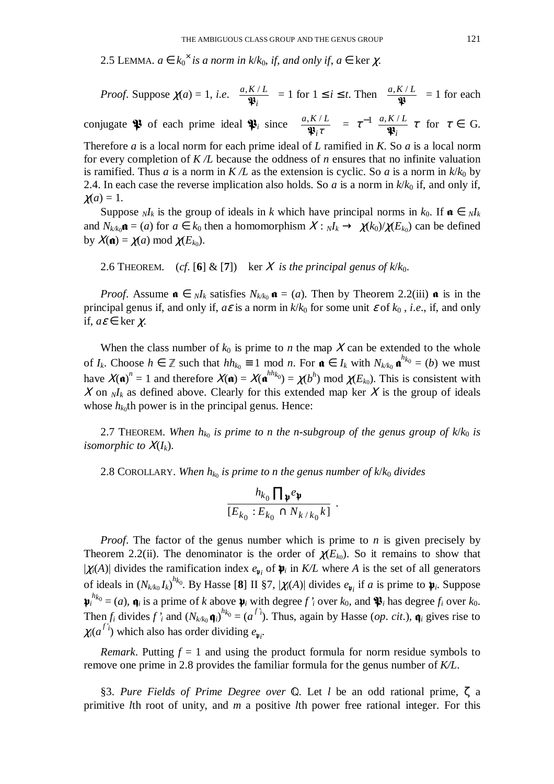2.5 LEMMA.  $a \in k_0^{\times}$  *is a norm in k/k*<sub>0</sub>, *if*, *and only if*,  $a \in \text{ker } \chi$ .

*Proof.* Suppose 
$$
\chi(a) = 1
$$
, *i.e.*  $\left(\frac{a, K/L}{\mathfrak{P}_i}\right) = 1$  for  $1 \le i \le t$ . Then  $\left(\frac{a, K/L}{\mathfrak{P}_i}\right) = 1$  for each

conjugate  $\mathfrak{P}$  of each prime ideal  $\mathfrak{P}_i$  since  $\left( \frac{a,\kappa/2}{\mathfrak{P}_i \tau} \right)$  $\left(\frac{a,K/L}{\mathfrak{P}_i\tau}\right)$ ſ τ*i*  $a, K/L$ @  $\left(\frac{K/L}{\mathfrak{P}_i\tau}\right) = \tau^{-1}\left(\frac{a,K/L}{\mathfrak{P}_i}\right)$  $\left(\frac{a,K/L}{\mathfrak{P}_i}\right)$ −1( *i*  $a, K/L$  $\ddot{\ }$  $\frac{1}{\omega} \left( \frac{a, K/L}{\omega} \right) \tau$  for  $\tau \in G$ .

Therefore *a* is a local norm for each prime ideal of *L* ramified in *K*. So *a* is a local norm for every completion of *K /L* because the oddness of *n* ensures that no infinite valuation is ramified. Thus *a* is a norm in  $K/L$  as the extension is cyclic. So *a* is a norm in  $k/k_0$  by 2.4. In each case the reverse implication also holds. So  $\alpha$  is a norm in  $k/k_0$  if, and only if,  $\chi(a) = 1$ .

Suppose  $N/k$  is the group of ideals in *k* which have principal norms in  $k_0$ . If  $\mathbf{a} \in N/k$ and  $N_{k/k_0}$ **a** = (*a*) for  $a \in k_0$  then a homomorphism  $X: N_k \to \chi(k_0)/\chi(E_{k_0})$  can be defined by  $X(\mathfrak{n}) = \chi(a) \bmod \chi(E_{k_0}).$ 

2.6 THEOREM. (*cf.* [6] & [7]) ker X is the principal genus of  $k/k_0$ .

*Proof.* Assume  $\mathbf{a} \in \mathbb{N}$ *I*<sub>*k*</sub> satisfies  $N_{k/k_0} \mathbf{a} = (a)$ . Then by Theorem 2.2(iii)  $\mathbf{a}$  is in the principal genus if, and only if,  $a\epsilon$  is a norm in  $k/k_0$  for some unit  $\epsilon$  of  $k_0$ , *i.e.*, if, and only if,  $a\varepsilon \in \text{ker } \gamma$ .

When the class number of  $k_0$  is prime to *n* the map X can be extended to the whole of *I<sub>k</sub>*. Choose *h* ∈  $\mathbb{Z}$  such that  $hh_{k_0} \equiv 1 \mod n$ . For  $\mathbf{a} \in I_k$  with  $N_{k/k_0} \mathbf{a}^{h_{k_0}} = (b)$  we must have  $X(\mathbf{a})^n = 1$  and therefore  $X(\mathbf{a}) = X(\mathbf{a}^{hh_{k_0}}) = \chi(b^h) \text{ mod } \chi(E_{k_0})$ . This is consistent with X on  $N_k$  as defined above. Clearly for this extended map ker X is the group of ideals whose  $h_{k0}$ <sup>th</sup> power is in the principal genus. Hence:

2.7 THEOREM. *When h<sup>k</sup>*<sup>0</sup>  *is prime to n the n*-*subgroup of the genus group of k*/*k*0 *is isomorphic to*  $X(I_k)$ .

2.8 COROLLARY. *When h<sup>k</sup>*<sup>0</sup>  *is prime to n the genus number of k*/*k*0 *divides*

$$
\frac{h_{k_0} \prod_{\mathfrak{p}} e_{\mathfrak{p}}}{[E_{k_0}: E_{k_0} \cap N_{k/k_0}k]}.
$$

*Proof*. The factor of the genus number which is prime to *n* is given precisely by Theorem 2.2(ii). The denominator is the order of  $\chi(E_{k_0})$ . So it remains to show that  $|\chi_i(A)|$  divides the ramification index  $e_{\mathfrak{p}_i}$  of  $\mathfrak{p}_i$  in  $K/L$  where *A* is the set of all generators of ideals in  $(N_{k/k_0} I_k)^{h_{k_0}}$ . By Hasse [8] II §7,  $|\chi_i(A)|$  divides  $e_{\mathfrak{p}_i}$  if *a* is prime to  $\mathfrak{p}_i$ . Suppose  $\boldsymbol{\psi}_i^{h_k} = (a)$ ,  $\boldsymbol{\phi}_i$  is a prime of *k* above  $\boldsymbol{\psi}_i$  with degree *f 'i* over *k*<sub>0</sub>, and  $\boldsymbol{\psi}_i$  has degree *f<sub>i</sub>* over *k*<sub>0</sub>. Then  $f_i$  divides  $f'_i$  and  $(N_{k/k_0}\mathbf{q}_i)^{h_{k_0}} = (a^{f'_i})$ . Thus, again by Hasse (*op. cit.*),  $\mathbf{q}_i$  gives rise to  $\chi_i(a^{f'i})$  which also has order dividing  $e_{\psi_i}$ .

*Remark*. Putting  $f = 1$  and using the product formula for norm residue symbols to remove one prime in 2.8 provides the familiar formula for the genus number of *K/L*.

§3. *Pure Fields of Prime Degree over* **Q**. Let *l* be an odd rational prime, ζ a primitive *l*th root of unity, and *m* a positive *l*th power free rational integer. For this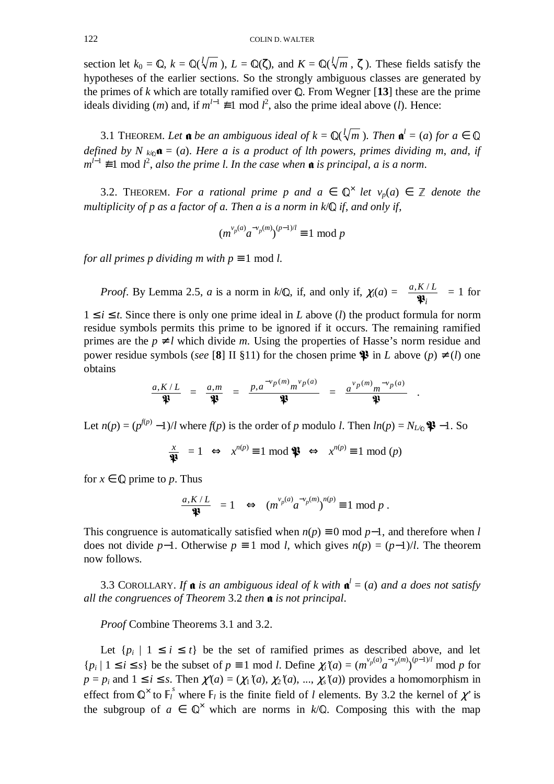section let  $k_0 = \mathbb{Q}$ ,  $k = \mathbb{Q}(\sqrt[m]{m})$ ,  $L = \mathbb{Q}(\zeta)$ , and  $K = \mathbb{Q}(\sqrt[m]{m}, \zeta)$ . These fields satisfy the hypotheses of the earlier sections. So the strongly ambiguous classes are generated by the primes of  $k$  which are totally ramified over  $\mathbb{Q}$ . From Wegner [13] these are the prime ideals dividing (*m*) and, if  $m^{l-1} \neq 1 \mod l^2$ , also the prime ideal above (*l*). Hence:

3.1 THEOREM. Let  $\mathbf{a}$  be an ambiguous ideal of  $k = \mathbb{Q}(\sqrt[k]{m})$ . Then  $\mathbf{a}^l = (a)$  for  $a \in \mathbb{Q}$ *defined by N*  $_{k/0}$  $\mathbf{a} = (a)$ . Here a is a product of lth powers, primes dividing m, and, if *m*<sup> $l-1$  ≢ 1 mod *l*<sup>2</sup>, *also the prime l. In the case when* **a** *is principal, a is a norm.*</sup>

3.2. THEOREM. *For a rational prime p and a*  $\in \mathbb{Q}^{\times}$  *let v<sub>p</sub>(a)*  $\in \mathbb{Z}$  *denote the multiplicity of p as a factor of a. Then a is a norm in*  $k/\mathbb{Q}$  *if, and only if,* 

$$
(m^{\nu_p(a)}a^{-\nu_p(m)})^{(p-1)/l} \equiv 1 \mod p
$$

*for all primes p dividing m with*  $p \equiv 1 \text{ mod } l$ *.* 

*Proof.* By Lemma 2.5, *a* is a norm in  $k/\mathbb{Q}$ , if, and only if,  $\chi_i(a) = \left(\frac{a_1 \kappa^2}{\mathbb{P}_i}\right)$  $\left(\frac{a,K/L}{\mathfrak{P}_i}\right)$ ſ *i*  $a, K/L$  $\ddot{\ }$  $\left(\frac{K/L}{m}\right) = 1$  for

 $1 \leq i \leq t$ . Since there is only one prime ideal in *L* above (*l*) the product formula for norm residue symbols permits this prime to be ignored if it occurs. The remaining ramified primes are the  $p \neq l$  which divide *m*. Using the properties of Hasse's norm residue and power residue symbols (*see* [8] II §11) for the chosen prime  $\mathcal{P}$  in *L* above (*p*)  $\neq$  (*l*) one obtains

$$
\left(\frac{a, K/L}{\mathfrak{P}}\right) = \left(\frac{a,m}{\mathfrak{P}}\right) = \left(\frac{p, a^{-\nu p(m)} m^{\nu p(a)}}{\mathfrak{P}}\right) = \left(\frac{a^{\nu p(m)} m^{-\nu p(a)}}{\mathfrak{P}}\right).
$$

Let  $n(p) = (p^{f(p)} - 1)$ /*l* where  $f(p)$  is the order of *p* modulo *l*. Then  $ln(p) = N_{L\mathbb{Q}}$  **\$** -1. So

$$
\left(\frac{x}{\mathfrak{P}}\right) = 1 \iff x^{n(p)} \equiv 1 \text{ mod } \mathfrak{P} \iff x^{n(p)} \equiv 1 \text{ mod } (p)
$$

for  $x \in \mathbb{Q}$  prime to p. Thus

$$
\left(\frac{a, K/L}{\mathfrak{P}}\right) = 1 \quad \Leftrightarrow \quad (m^{\nu_p(a)} a^{-\nu_p(m)})^{n(p)} \equiv 1 \mod p \; .
$$

This congruence is automatically satisfied when  $n(p) \equiv 0 \mod p-1$ , and therefore when *l* does not divide *p*−1. Otherwise *p*  $\equiv$  1 mod *l*, which gives *n*(*p*) = (*p*−1)/*l*. The theorem now follows.

3.3 COROLLARY. If  $\mathbf{\hat{a}}$  is an ambiguous ideal of k with  $\mathbf{\hat{a}}^l = (a)$  and a does not satisfy *all the congruences of Theorem 3.2 then* **a** *is not principal.* 

*Proof* Combine Theorems 3.1 and 3.2.

Let  $\{p_i \mid 1 \le i \le t\}$  be the set of ramified primes as described above, and let  ${p_i | 1 \le i \le s}$  be the subset of  $p \equiv 1 \mod l$ . Define  $\chi_i'(a) = (m^{\nu_p(a)} a^{-\nu_p(m)})^{(p-1)/l} \mod p$  for  $p = p_i$  and  $1 \le i \le s$ . Then  $\chi'(a) = (\chi_1'(a), \chi_2'(a), ..., \chi_s'(a))$  provides a homomorphism in effect from  $\mathbb{Q}^{\times}$  to  $\mathbb{F}_{l}^{s}$  where  $\mathbb{F}_{l}$  is the finite field of *l* elements. By 3.2 the kernel of  $\chi'$  is the subgroup of  $a \in \mathbb{Q}^{\times}$  which are norms in  $k/\mathbb{Q}$ . Composing this with the map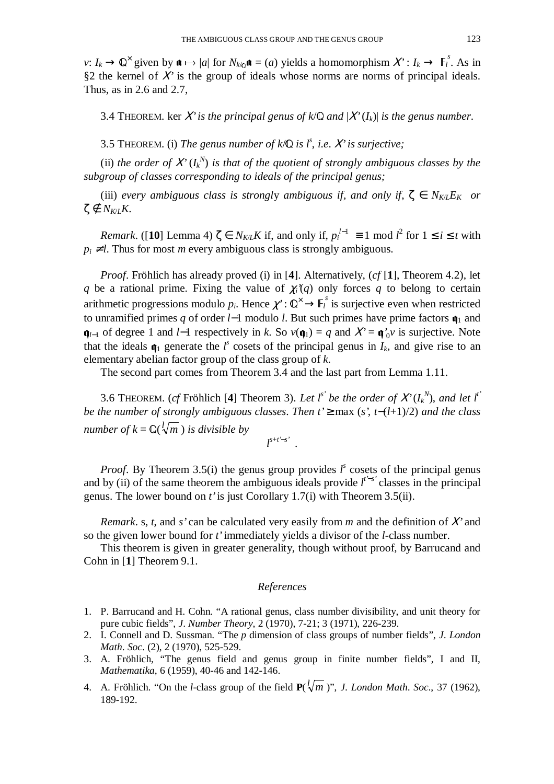*v*:  $I_k \to \mathbb{Q}^\times$  given by  $\mathfrak{a} \mapsto |a|$  for  $N_{k/\mathbb{Q}} \mathfrak{a} = (a)$  yields a homomorphism  $X' : I_k \to \mathbb{F}_l^s$ . As in §2 the kernel of Χ*'* is the group of ideals whose norms are norms of principal ideals. Thus, as in 2.6 and 2.7,

3.4 THEOREM. ker X' is the principal genus of  $k/\mathbb{Q}$  and  $|X'(I_k)|$  is the genus number.

3.5 THEOREM. (i) *The genus number of k*/ $\mathbb Q$  *is l<sup>s</sup>*, *i.e. X is surjective*;

(ii) the order of  $X^{\prime}(I_{k}^{N})$  is that of the quotient of strongly ambiguous classes by the *subgroup of classes corresponding to ideals of the principal genus;*

(iii) *every* ambiguous class is strongly ambiguous if, and only if,  $\zeta \in N_{K/L}E_K$  or  $ζ$  ∉  $N_{K/I}K$ .

*Remark*. ([10] Lemma 4)  $\zeta \in N_{K/L}K$  if, and only if,  $p_i^{l-1} \equiv 1 \mod l^2$  for  $1 \le i \le t$  with  $p_i \neq l$ . Thus for most *m* every ambiguous class is strongly ambiguous.

*Proof*. Fröhlich has already proved (i) in [**4**]. Alternatively, (*cf* [**1**], Theorem 4.2), let *q* be a rational prime. Fixing the value of  $\chi_i(q)$  only forces *q* to belong to certain arithmetic progressions modulo  $p_i$ . Hence  $\chi^i: \mathbb{Q}^\times \to \mathbb{F}_i^s$  is surjective even when restricted to unramified primes *q* of order *l*−1 modulo *l*. But such primes have prime factors  $\mathbf{q}_1$  and  $\mathbf{q}_{l-1}$  of degree 1 and *l*−1 respectively in *k*. So  $v(\mathbf{q}_1) = q$  and  $X' = \mathbf{q}_0'v$  is surjective. Note that the ideals  $\mathbf{q}_1$  generate the *l<sup>s</sup>* cosets of the principal genus in  $I_k$ , and give rise to an elementary abelian factor group of the class group of *k*.

The second part comes from Theorem 3.4 and the last part from Lemma 1.11.

3.6 THEOREM. (*cf* Fröhlich [4] Theorem 3). Let  $l^{s'}$  be the order of  $X'(I_k^N)$ , and let  $l^{t'}$ *be the number of strongly ambiguous classes*. *Then t'* ≥ max (*s'*, *t*−(*l*+1)/2) *and the class number of*  $k = \mathbb{Q}(\sqrt{l/m})$  *is divisible by l s*+*t'*−*s'* .

*Proof.* By Theorem 3.5(i) the genus group provides  $l^s$  cosets of the principal genus and by (ii) of the same theorem the ambiguous ideals provide  $l^{t-s'}$  classes in the principal genus. The lower bound on *t'* is just Corollary 1.7(i) with Theorem 3.5(ii).

*Remark*. s, *t*, and *s'* can be calculated very easily from *m* and the definition of Χ*'* and so the given lower bound for *t'* immediately yields a divisor of the *l*-class number.

This theorem is given in greater generality, though without proof, by Barrucand and Cohn in [**1**] Theorem 9.1.

## *References*

- 1. P. Barrucand and H. Cohn. "A rational genus, class number divisibility, and unit theory for pure cubic fields", *J*. *Number Theory*, 2 (1970), 7-21; 3 (1971), 226-239.
- 2. I. Connell and D. Sussman. "The *p* dimension of class groups of number fields", *J*. *London Math*. *Soc*. (2), 2 (1970), 525-529.
- 3. A. Fröhlich, "The genus field and genus group in finite number fields", I and II, *Mathematika*, 6 (1959), 40-46 and 142-146.
- 4. A. Fröhlich. "On the *l*-class group of the field  $P(\sqrt[m]{m})$ ", *J. London Math. Soc.*, 37 (1962), 189-192.